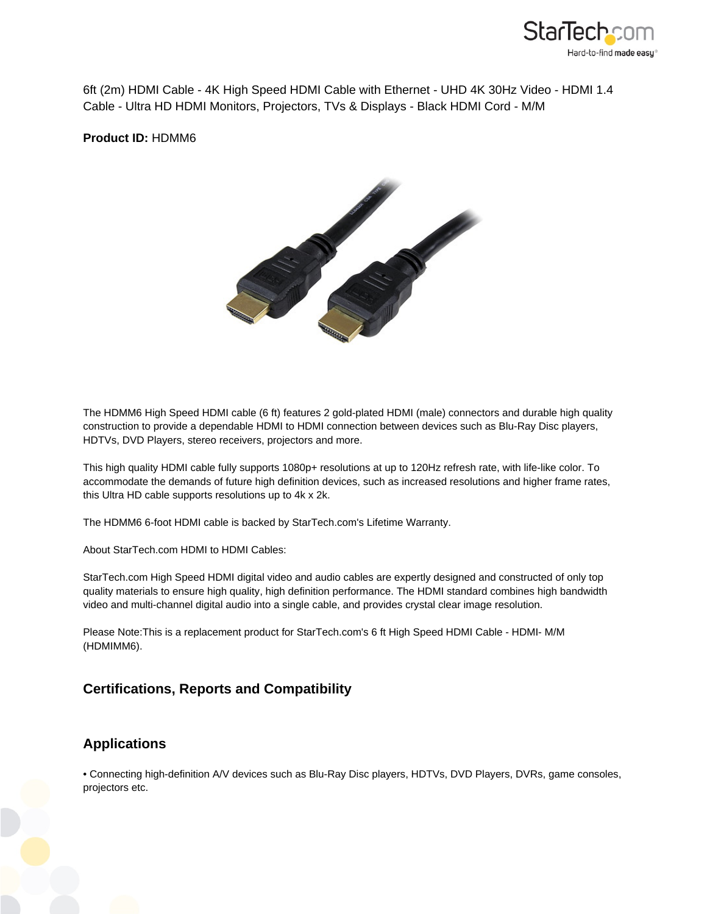

6ft (2m) HDMI Cable - 4K High Speed HDMI Cable with Ethernet - UHD 4K 30Hz Video - HDMI 1.4 Cable - Ultra HD HDMI Monitors, Projectors, TVs & Displays - Black HDMI Cord - M/M

**Product ID:** HDMM6



The HDMM6 High Speed HDMI cable (6 ft) features 2 gold-plated HDMI (male) connectors and durable high quality construction to provide a dependable HDMI to HDMI connection between devices such as Blu-Ray Disc players, HDTVs, DVD Players, stereo receivers, projectors and more.

This high quality HDMI cable fully supports 1080p+ resolutions at up to 120Hz refresh rate, with life-like color. To accommodate the demands of future high definition devices, such as increased resolutions and higher frame rates, this Ultra HD cable supports resolutions up to 4k x 2k.

The HDMM6 6-foot HDMI cable is backed by StarTech.com's Lifetime Warranty.

About StarTech.com HDMI to HDMI Cables:

StarTech.com High Speed HDMI digital video and audio cables are expertly designed and constructed of only top quality materials to ensure high quality, high definition performance. The HDMI standard combines high bandwidth video and multi-channel digital audio into a single cable, and provides crystal clear image resolution.

Please Note:This is a replacement product for StarTech.com's 6 ft High Speed HDMI Cable - HDMI- M/M (HDMIMM6).

## **Certifications, Reports and Compatibility**

## **Applications**

• Connecting high-definition A/V devices such as Blu-Ray Disc players, HDTVs, DVD Players, DVRs, game consoles, projectors etc.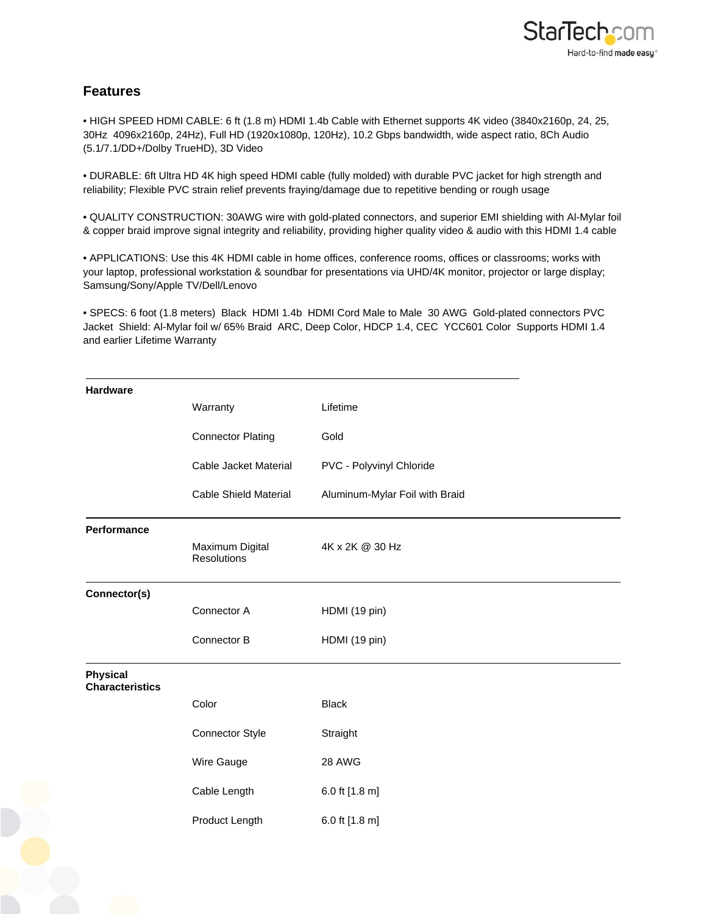## **Features**

• HIGH SPEED HDMI CABLE: 6 ft (1.8 m) HDMI 1.4b Cable with Ethernet supports 4K video (3840x2160p, 24, 25, 30Hz 4096x2160p, 24Hz), Full HD (1920x1080p, 120Hz), 10.2 Gbps bandwidth, wide aspect ratio, 8Ch Audio (5.1/7.1/DD+/Dolby TrueHD), 3D Video

• DURABLE: 6ft Ultra HD 4K high speed HDMI cable (fully molded) with durable PVC jacket for high strength and reliability; Flexible PVC strain relief prevents fraying/damage due to repetitive bending or rough usage

• QUALITY CONSTRUCTION: 30AWG wire with gold-plated connectors, and superior EMI shielding with Al-Mylar foil & copper braid improve signal integrity and reliability, providing higher quality video & audio with this HDMI 1.4 cable

• APPLICATIONS: Use this 4K HDMI cable in home offices, conference rooms, offices or classrooms; works with your laptop, professional workstation & soundbar for presentations via UHD/4K monitor, projector or large display; Samsung/Sony/Apple TV/Dell/Lenovo

• SPECS: 6 foot (1.8 meters) Black HDMI 1.4b HDMI Cord Male to Male 30 AWG Gold-plated connectors PVC Jacket Shield: Al-Mylar foil w/ 65% Braid ARC, Deep Color, HDCP 1.4, CEC YCC601 Color Supports HDMI 1.4 and earlier Lifetime Warranty

| <b>Hardware</b>                           |                                       |                                |
|-------------------------------------------|---------------------------------------|--------------------------------|
|                                           | Warranty                              | Lifetime                       |
|                                           | <b>Connector Plating</b>              | Gold                           |
|                                           | Cable Jacket Material                 | PVC - Polyvinyl Chloride       |
|                                           | <b>Cable Shield Material</b>          | Aluminum-Mylar Foil with Braid |
| Performance                               | Maximum Digital<br><b>Resolutions</b> | 4K x 2K @ 30 Hz                |
| Connector(s)                              |                                       |                                |
|                                           | Connector A                           | HDMI (19 pin)                  |
|                                           | Connector B                           | HDMI (19 pin)                  |
| <b>Physical</b><br><b>Characteristics</b> |                                       |                                |
|                                           | Color                                 | <b>Black</b>                   |
|                                           | Connector Style                       | Straight                       |
|                                           | Wire Gauge                            | 28 AWG                         |
|                                           | Cable Length                          | 6.0 ft [1.8 m]                 |
|                                           | Product Length                        | 6.0 ft [1.8 m]                 |